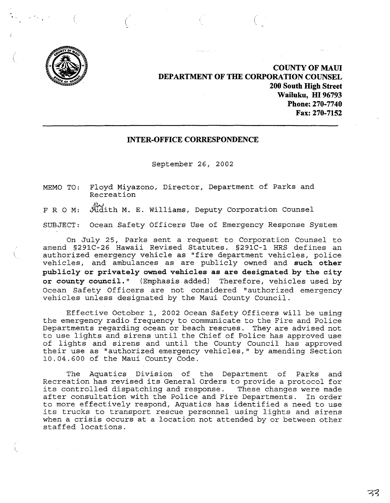

**COUNTY OF MAID DEPARTMENT OF THE CORPORATION COUNSEL 200 South High Street Wailuku, m 96793 Phone: 270-7740 Fax: 270-7152**

# **INTER-OFFICE CORRESPONDENCE**

September 26, 2002

MEMO TO: Floyd Miyazono, Director, Department of Parks and Recreation

F R O M: Judith M. E. Williams, Deputy Corporation Counsel

SUBJECT: Ocean Safety Officers Use of Emergency Response System

On July 25, Parks sent a request to Corporation Counsel to amend §291C-26 Hawaii Revised Statutes. §291C-l HRS defines an authorized emergency vehicle as "fire department vehicles, police vehicles, and ambulances as are publicly owned and **such other publicly or privately owned vehicles as are designated by the city or county council."** (Emphasis added) Therefore, vehicles used by Ocean Safety Officers are not considered "authorized emergency vehicles unless designated by the Maui County Council.

Effective October I, 2002 Ocean Safety Officers will be using the emergency radio frequency to communicate to the Fire and Police Departments regarding ocean or beach rescues. They are advised not to use lights and sirens until the Chief of Police has approved use of lights and sirens and until the County Council has approved their use as "authorized emergency vehicles," by amending Section 10.04.600 of the Maui County Code.

The Aquatics Division of the Department of Parks and Recreation has revised its General Orders to provide <sup>a</sup> protocol for its controlled dispatching and response. These changes were made<br>after consultation with the Police and Fire Departments. In order after consultation with the Police and Fire Departments. to more effectively respond, Aquatics has identified <sup>a</sup> need to use its trucks to transport rescue personnel using lights and sirens when <sup>a</sup> crisis occurs at <sup>a</sup> location not attended by or between other staffed locations.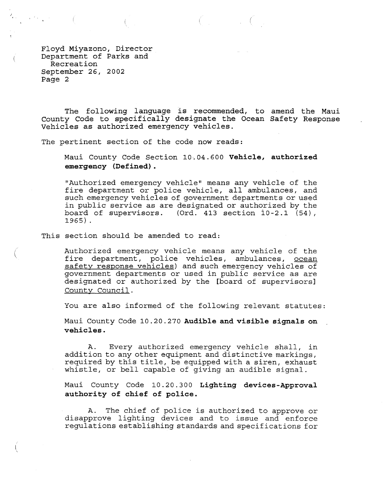Floyd Miyazono, Director Department of Parks and Recreation September 26, 2002 Page 2

 $\mathcal{E}_{\mathcal{F}_{\mathcal{A}}^{(n)}}(x)$  , where  $\mathcal{E}_{\mathcal{A}}^{(n)}$ 

The following language is recommended, to amend the Maui County Code to specifically designate the Ocean Safety Response Vehicles as authorized emergency vehicles.

 $\mathcal{L}$  and  $\mathcal{L}$ 

The pertinent section of the code now reads:

Maui County Code Section 10~04.600 **Vehicle, authorized emergency (Defined).**

"Authorized emergency vehicle" means any vehicle of the fire department or police vehicle, all ambulances, and such emergency vehicles of government departments or used in public service as are designated or authorized by the board of supervisors. (Ord. 413 section 10-2.1 (54), 1965) .

This section should be amended to read:

I  $\ddot{\phantom{0}}$  Authorized emergency vehicle means any vehicle of the fire department, police vehicles, ambulances, ocean safety response vehicles) and such emergency vehicles of government departments or used in public service as are designated or authorized by the [board of supervisors] County Council.

You are also informed of the following relevant statutes:

Maui County Code 10.20.270 **Audible and visible signals on vehicles.**

A. Every authorized emergency vehicle shall, in addition to any other equipment and distinctive markings, required by this title, be equipped with <sup>a</sup> siren, exhaust whistle, or bell capable of giving an audible signal.

Maui County Code 10.20.300 **Lighting devices-Approval authority of chief of police.**

A. The chief of police is authorized to approve or disapprove lighting devices and to issue and enforce regulations establishing standards and specifications for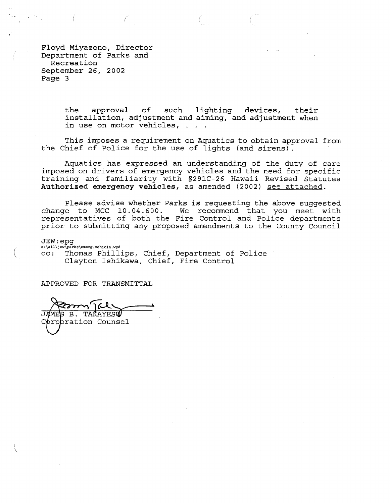Floyd Miyazono, Director Department of Parks and Recreation September 26, 2002 Page 3

> the approval of such lighting devices, their installation, adjustment and aiming, and adjustment when in use on motor vehicles,

This imposes a requirement on Aquatics to obtain approval from the Chief of Police for the use of lights (and sirens) .

Aquatics has expressed an understanding of the duty of care imposed on drivers of emergency vehicles and the need for specific training and familiarity with *§291C-26* Hawaii Revised Statutes **Authorized emergency vehicles,** as amended (2002) see attached.

Please advise whether Parks is requesting the above suggested change to MCC 10.04.600. We recommend that you meet with representatives of both the Fire Control and Police departments prior to submitting any proposed amendments to the County Council

JEW:epg s:\all\jew\parks\emerg.vehicle.wpd cc: Thomas Phillips, Chief, Department of Police Clayton Ishikawa, Chief, Fire Control

APPROVED FOR TRANSMITTAL

sui **B. TAKAYESO** JAME

pration Counsel

 $\big($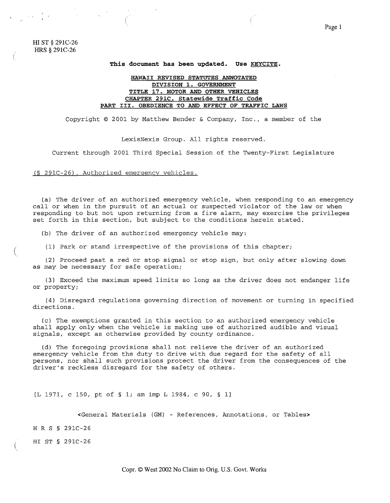**HI** ST § 291C-26 HRS § 291C-26

(

(

#### **This document has been updated. Use KEYCITE.**

# **HAWAII REVISED STATUTES ANNOTATED DIVISION 1. GOVERNMENT TITLE 17. MOTOR AND OTHER VEHICLES CHAPTER 291C. Statewide Traffic Code PART III. OBEDIENCE TO AND EFFECT OF TRAFFIC LAWS**

Copyright © 2001 by Matthew Bender & Company, Inc., a member of the

LexisNexis Group. All rights reserved.

Current through 2001 Third Special Session of the Twenty-First Legislature

(§ *291C-26).* Authorized emergency vehicles.

(a) The driver of an authorized emergency vehicle, when responding to an emergency call or when in the pursuit of an actual or suspected violator of the law or when responding to but not upon returning from <sup>a</sup> fire alarm, may exercise the privileges set forth in this section, but subject to the conditions herein stated.

(b) The driver of an authorized emergency vehicle may:

(1) Park or stand irrespective of the provisions of this chapter;

(2) Proceed past <sup>a</sup> red or stop signal or stop sign, but only after slowing down as may be necessary for safe operation;

(3) Exceed the maximum speed limits so long as the driver does not endanger life or property;

(4) Disregard regulations governing direction of movement or turning in specified directions.

(c) The exemptions granted in this section to an authorized emergency vehicle shall apply only when the vehicle is making use of authorized audible and visual signals, except as otherwise provided by county ordinance.

(d) The foregoing provisions shall not relieve the driver of an authorized emergency vehicle from the duty to drive with due regard for the safety of all persons, nor shall such provisions protect the driver from the consequences of the driver's reckless disregard for the safety of others.

[L 1971, <sup>c</sup> 150, pt of § 1; am imp <sup>L</sup> 1984, <sup>c</sup> 90, § 1]

<General Materials (GM) - References, Annotations, or Tables>

H R S § *291C-26*

HI ST § *291C-26*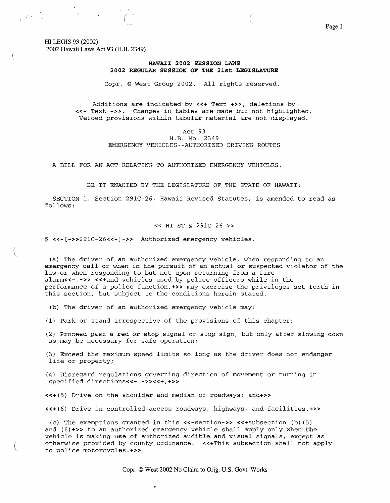HI LEGIS 93 (2002) 2002 Hawaii Laws Act 93 (H.B. 2349)

 $\label{eq:2} \Psi_{\rm eff} = \frac{1}{2} \left( \frac{1}{2} \sum_{i=1}^3 \frac{1}{2} \sum_{j=1}^3 \frac{1}{2} \sum_{j=1}^3 \frac{1}{2} \sum_{j=1}^3 \frac{1}{2} \sum_{j=1}^3 \frac{1}{2} \sum_{j=1}^3 \frac{1}{2} \sum_{j=1}^3 \frac{1}{2} \sum_{j=1}^3 \frac{1}{2} \sum_{j=1}^3 \frac{1}{2} \sum_{j=1}^3 \frac{1}{2} \sum_{j=1}^3 \frac{1}{2} \sum_{j=1}^3 \frac{$ 

(

(

# **HAWAII 2002 SESSION LAWS 2002 REGULAR SESSION OF THE 21st LEGISLATURE**

Copr. © West Group 2002. All rights reserved.

Additions are indicated by **«+** Text **+»;** deletions by **«-** Text **-».** Changes in tables are made but not highlighted. Vetoed provisions within tabular material are not displayed.

### Act 93 H.B. No. 2349 EMERGENCY VEHICLES--AUTHORIZED DRIVING ROUTES

A BILL FOR AN ACT RELATING TO AUTHORIZED EMERGENCY VEHICLES.

BE IT ENACTED BY THE LEGISLATURE OF THE STATE OF HAWAII:

SECTION 1. Section 291C-26, Hawaii Revised Statutes, is amended to read as follows:

#### « HI ST § 291C-26 »

§ <<-[->>291C-26<<-]->> Authorized emergency vehicles.

(a) The driver of an authorized emergency vehicle, when responding to an emergency call or when in the pursuit of an actual or suspected violator of the law or when responding to but not upon returning from <sup>a</sup> fire alarm<<-,->> <<+and vehicles used by police officers while in the performance of <sup>a</sup> police function,+» may exercise the privileges set forth in this section, but subject to the conditions herein stated.

(b) The driver of an authorized emergency vehicle may:

(1) Park or stand irrespective of the provisions of this chapter;

(2) Proceed past <sup>a</sup> red or stop signal or stop sign, but only after slowing down as may be necessary for safe operation;

(3) Exceed the maximum speed limits so long as the driver does not endanger life or property;

(4) Disregard regulations governing direction of movement or turning in specified directions<<-.->><<+;+>>

«+(5) Drive on the shoulder and median of roadways; and+»

«+(6) Drive in controlled-access roadways, highways, and facilities.+»

(c) The exemptions granted in this «-section-» «+subsection (b) (5) and  $(6)$ +>> to an authorized emergency vehicle shall apply only when the vehicle is making use of authorized audible and visual signals, except as otherwise provided by county ordinance. «+This subsection shall not apply to police motorcycles.+»